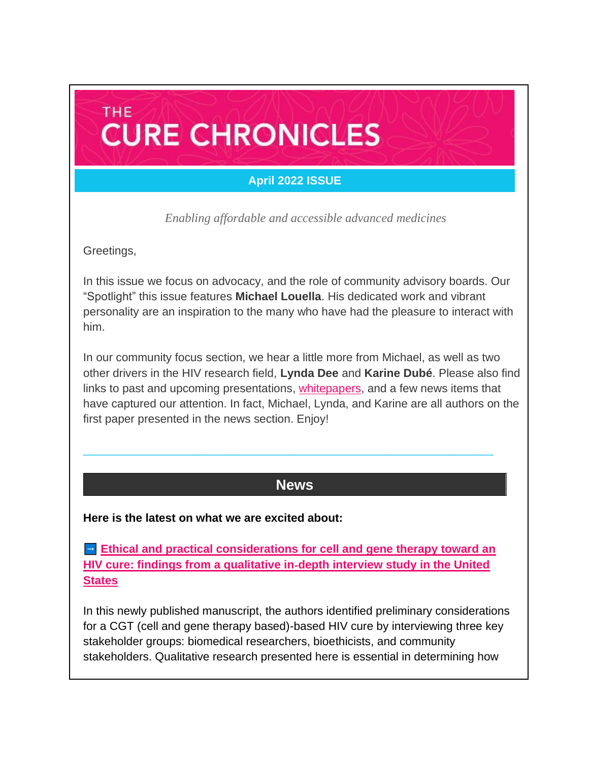## **April 2022 ISSUE**

**CURE CHRONICLES** 

*Enabling affordable and accessible advanced medicines*

Greetings,

**THE** 

In this issue we focus on advocacy, and the role of community advisory boards. Our "Spotlight" this issue features **Michael Louella**. His dedicated work and vibrant personality are an inspiration to the many who have had the pleasure to interact with him.

In our community focus section, we hear a little more from Michael, as well as two other drivers in the HIV research field, **Lynda Dee** and **Karine Dubé**. Please also find links to past and upcoming presentations, [whitepapers,](https://caringcross.org/whitepapers/) and a few news items that have captured our attention. In fact, Michael, Lynda, and Karine are all authors on the first paper presented in the news section. Enjoy!

## **News**

 $\_$  ,  $\_$  ,  $\_$  ,  $\_$  ,  $\_$  ,  $\_$  ,  $\_$  ,  $\_$  ,  $\_$  ,  $\_$  ,  $\_$  ,  $\_$  ,  $\_$  ,  $\_$  ,  $\_$  ,  $\_$  ,  $\_$  ,  $\_$  ,  $\_$ 

**Here is the latest on what we are excited about:**

**Ethical and practical considerations for cell and gene therapy toward an [HIV cure: findings from a qualitative in](https://bmcmedethics.biomedcentral.com/articles/10.1186/s12910-022-00780-1)**‑**depth interview study in the United [States](https://bmcmedethics.biomedcentral.com/articles/10.1186/s12910-022-00780-1)**

In this newly published manuscript, the authors identified preliminary considerations for a CGT (cell and gene therapy based)-based HIV cure by interviewing three key stakeholder groups: biomedical researchers, bioethicists, and community stakeholders. Qualitative research presented here is essential in determining how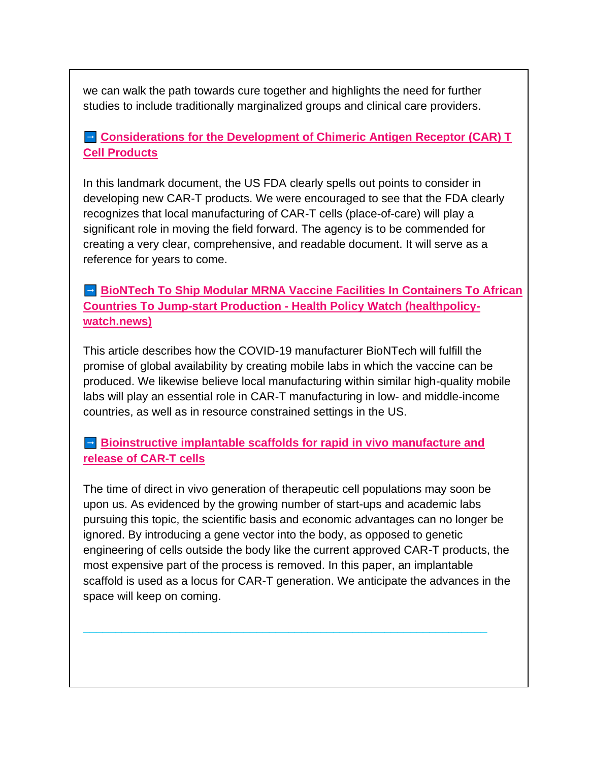we can walk the path towards cure together and highlights the need for further studies to include traditionally marginalized groups and clinical care providers.

## **[Considerations for the Development of Chimeric Antigen Receptor \(CAR\) T](https://www.fda.gov/regulatory-information/search-fda-guidance-documents/considerations-development-chimeric-antigen-receptor-car-t-cell-products)  [Cell Products](https://www.fda.gov/regulatory-information/search-fda-guidance-documents/considerations-development-chimeric-antigen-receptor-car-t-cell-products)**

In this landmark document, the US FDA clearly spells out points to consider in developing new CAR-T products. We were encouraged to see that the FDA clearly recognizes that local manufacturing of CAR-T cells (place-of-care) will play a significant role in moving the field forward. The agency is to be commended for creating a very clear, comprehensive, and readable document. It will serve as a reference for years to come.

**BioNTech To Ship Modular MRNA Vaccine Facilities In Containers To African [Countries To Jump-start Production -](https://healthpolicy-watch.news/biontech-to-set-up-modular-mrna-vaccine-production-facilities-in-africa/) Health Policy Watch (healthpolicy[watch.news\)](https://healthpolicy-watch.news/biontech-to-set-up-modular-mrna-vaccine-production-facilities-in-africa/)**

This article describes how the COVID-19 manufacturer BioNTech will fulfill the promise of global availability by creating mobile labs in which the vaccine can be produced. We likewise believe local manufacturing within similar high-quality mobile labs will play an essential role in CAR-T manufacturing in low- and middle-income countries, as well as in resource constrained settings in the US.

 **Bioinstructive [implantable scaffolds for rapid in vivo manufacture and](https://www.nature.com/articles/s41587-022-01245-x)  [release of CAR-T cells](https://www.nature.com/articles/s41587-022-01245-x)**

The time of direct in vivo generation of therapeutic cell populations may soon be upon us. As evidenced by the growing number of start-ups and academic labs pursuing this topic, the scientific basis and economic advantages can no longer be ignored. By introducing a gene vector into the body, as opposed to genetic engineering of cells outside the body like the current approved CAR-T products, the most expensive part of the process is removed. In this paper, an implantable scaffold is used as a locus for CAR-T generation. We anticipate the advances in the space will keep on coming.

 $\frac{1}{2}$  , and the contribution of the contribution of the contribution of the contribution of the contribution of the contribution of the contribution of the contribution of the contribution of the contribution of the c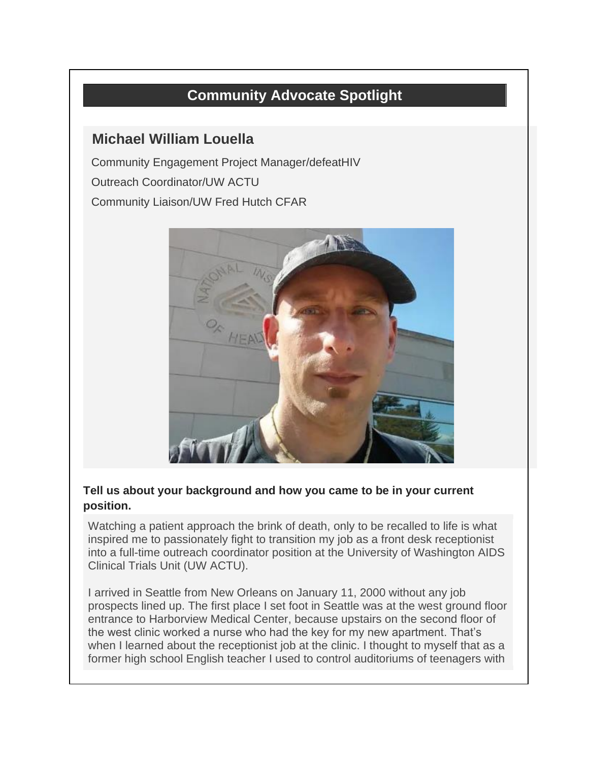# **Community Advocate Spotlight**

# **Michael William Louella**

Community Engagement Project Manager/defeatHIV Outreach Coordinator/UW ACTU Community Liaison/UW Fred Hutch CFAR



### **Tell us about your background and how you came to be in your current position.**

Watching a patient approach the brink of death, only to be recalled to life is what inspired me to passionately fight to transition my job as a front desk receptionist into a full-time outreach coordinator position at the University of Washington AIDS Clinical Trials Unit (UW ACTU).

I arrived in Seattle from New Orleans on January 11, 2000 without any job prospects lined up. The first place I set foot in Seattle was at the west ground floor entrance to Harborview Medical Center, because upstairs on the second floor of the west clinic worked a nurse who had the key for my new apartment. That's when I learned about the receptionist job at the clinic. I thought to myself that as a former high school English teacher I used to control auditoriums of teenagers with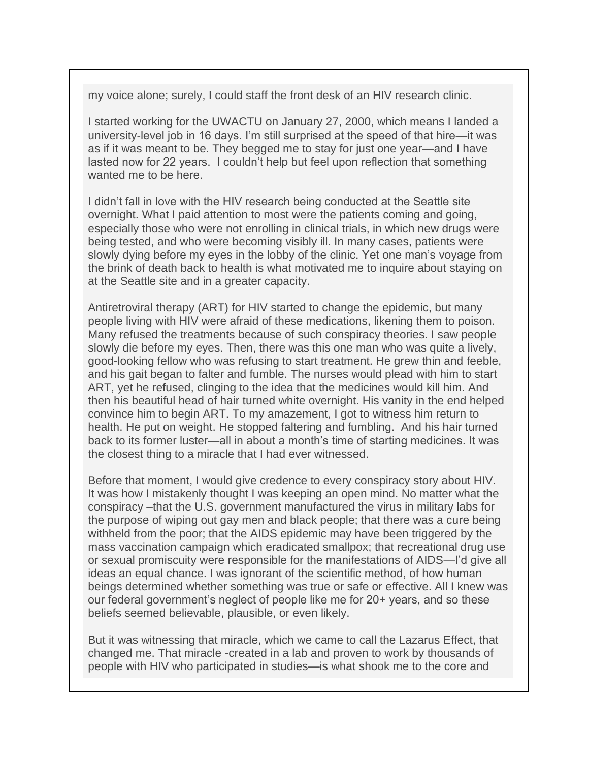my voice alone; surely, I could staff the front desk of an HIV research clinic.

I started working for the UWACTU on January 27, 2000, which means I landed a university-level job in 16 days. I'm still surprised at the speed of that hire—it was as if it was meant to be. They begged me to stay for just one year—and I have lasted now for 22 years. I couldn't help but feel upon reflection that something wanted me to be here.

I didn't fall in love with the HIV research being conducted at the Seattle site overnight. What I paid attention to most were the patients coming and going, especially those who were not enrolling in clinical trials, in which new drugs were being tested, and who were becoming visibly ill. In many cases, patients were slowly dying before my eyes in the lobby of the clinic. Yet one man's voyage from the brink of death back to health is what motivated me to inquire about staying on at the Seattle site and in a greater capacity.

Antiretroviral therapy (ART) for HIV started to change the epidemic, but many people living with HIV were afraid of these medications, likening them to poison. Many refused the treatments because of such conspiracy theories. I saw people slowly die before my eyes. Then, there was this one man who was quite a lively, good-looking fellow who was refusing to start treatment. He grew thin and feeble, and his gait began to falter and fumble. The nurses would plead with him to start ART, yet he refused, clinging to the idea that the medicines would kill him. And then his beautiful head of hair turned white overnight. His vanity in the end helped convince him to begin ART. To my amazement, I got to witness him return to health. He put on weight. He stopped faltering and fumbling. And his hair turned back to its former luster—all in about a month's time of starting medicines. It was the closest thing to a miracle that I had ever witnessed.

Before that moment, I would give credence to every conspiracy story about HIV. It was how I mistakenly thought I was keeping an open mind. No matter what the conspiracy –that the U.S. government manufactured the virus in military labs for the purpose of wiping out gay men and black people; that there was a cure being withheld from the poor; that the AIDS epidemic may have been triggered by the mass vaccination campaign which eradicated smallpox; that recreational drug use or sexual promiscuity were responsible for the manifestations of AIDS—I'd give all ideas an equal chance. I was ignorant of the scientific method, of how human beings determined whether something was true or safe or effective. All I knew was our federal government's neglect of people like me for 20+ years, and so these beliefs seemed believable, plausible, or even likely.

But it was witnessing that miracle, which we came to call the Lazarus Effect, that changed me. That miracle -created in a lab and proven to work by thousands of people with HIV who participated in studies—is what shook me to the core and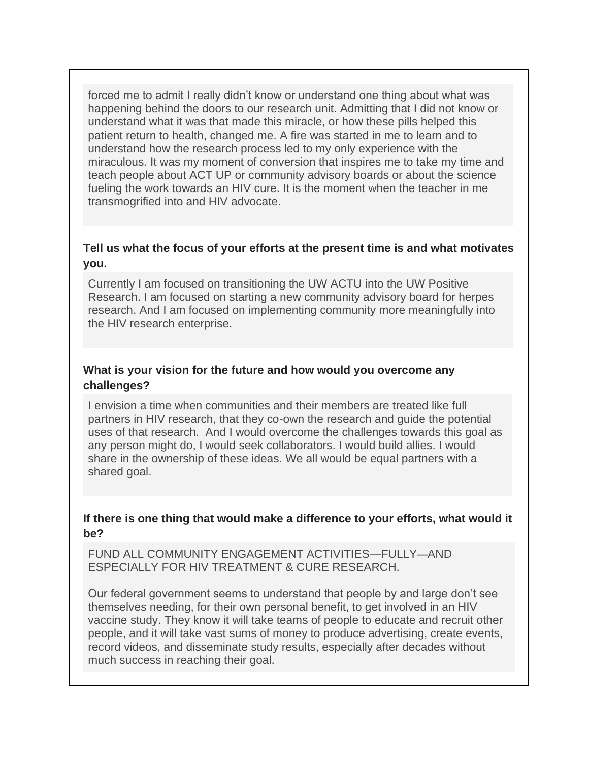forced me to admit I really didn't know or understand one thing about what was happening behind the doors to our research unit. Admitting that I did not know or understand what it was that made this miracle, or how these pills helped this patient return to health, changed me. A fire was started in me to learn and to understand how the research process led to my only experience with the miraculous. It was my moment of conversion that inspires me to take my time and teach people about ACT UP or community advisory boards or about the science fueling the work towards an HIV cure. It is the moment when the teacher in me transmogrified into and HIV advocate.

### **Tell us what the focus of your efforts at the present time is and what motivates you.**

Currently I am focused on transitioning the UW ACTU into the UW Positive Research. I am focused on starting a new community advisory board for herpes research. And I am focused on implementing community more meaningfully into the HIV research enterprise.

### **What is your vision for the future and how would you overcome any challenges?**

I envision a time when communities and their members are treated like full partners in HIV research, that they co-own the research and guide the potential uses of that research. And I would overcome the challenges towards this goal as any person might do, I would seek collaborators. I would build allies. I would share in the ownership of these ideas. We all would be equal partners with a shared goal.

### **If there is one thing that would make a difference to your efforts, what would it be?**

FUND ALL COMMUNITY ENGAGEMENT ACTIVITIES—FULLY—AND ESPECIALLY FOR HIV TREATMENT & CURE RESEARCH.

Our federal government seems to understand that people by and large don't see themselves needing, for their own personal benefit, to get involved in an HIV vaccine study. They know it will take teams of people to educate and recruit other people, and it will take vast sums of money to produce advertising, create events, record videos, and disseminate study results, especially after decades without much success in reaching their goal.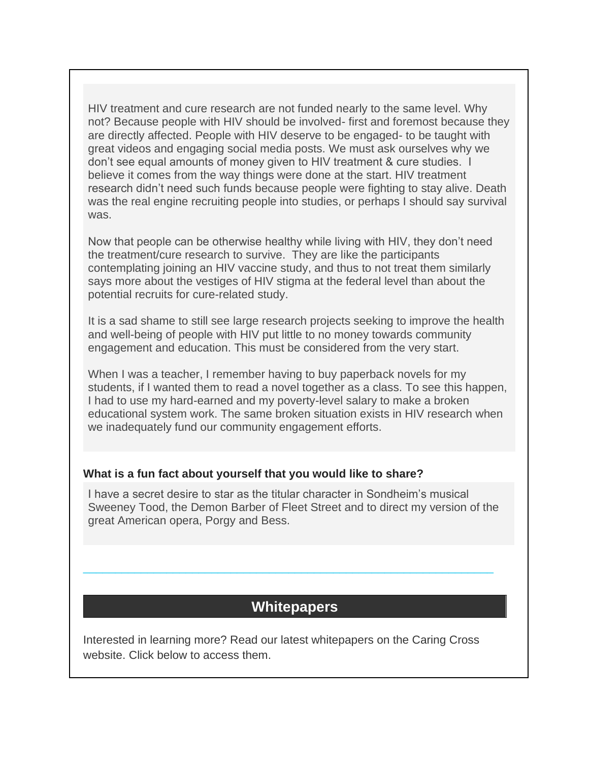HIV treatment and cure research are not funded nearly to the same level. Why not? Because people with HIV should be involved- first and foremost because they are directly affected. People with HIV deserve to be engaged- to be taught with great videos and engaging social media posts. We must ask ourselves why we don't see equal amounts of money given to HIV treatment & cure studies. I believe it comes from the way things were done at the start. HIV treatment research didn't need such funds because people were fighting to stay alive. Death was the real engine recruiting people into studies, or perhaps I should say survival was.

Now that people can be otherwise healthy while living with HIV, they don't need the treatment/cure research to survive. They are like the participants contemplating joining an HIV vaccine study, and thus to not treat them similarly says more about the vestiges of HIV stigma at the federal level than about the potential recruits for cure-related study.

It is a sad shame to still see large research projects seeking to improve the health and well-being of people with HIV put little to no money towards community engagement and education. This must be considered from the very start.

When I was a teacher, I remember having to buy paperback novels for my students, if I wanted them to read a novel together as a class. To see this happen, I had to use my hard-earned and my poverty-level salary to make a broken educational system work. The same broken situation exists in HIV research when we inadequately fund our community engagement efforts.

#### **What is a fun fact about yourself that you would like to share?**

I have a secret desire to star as the titular character in Sondheim's musical Sweeney Tood, the Demon Barber of Fleet Street and to direct my version of the great American opera, Porgy and Bess.

# **Whitepapers**

\_\_\_\_\_\_\_\_\_\_\_\_\_\_\_\_\_\_\_\_\_\_\_\_\_\_\_\_\_\_\_\_\_\_\_\_\_\_\_\_\_\_\_\_\_\_\_\_\_\_\_\_\_\_\_\_\_\_\_\_\_\_\_\_

Interested in learning more? Read our latest whitepapers on the Caring Cross website. Click below to access them.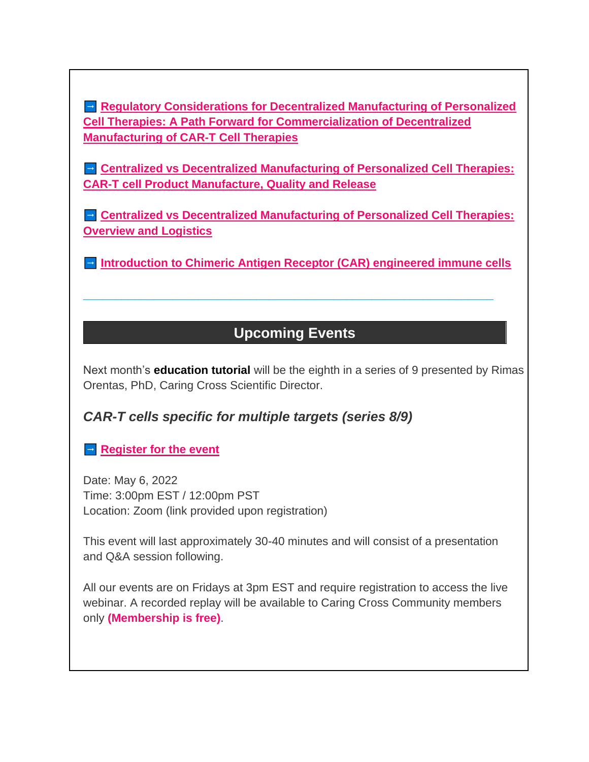**Regulatory Considerations for Decentralized Manufacturing of Personalized [Cell Therapies: A Path Forward for Commercialization of Decentralized](https://caringcross.org/whitepapers/)  [Manufacturing of CAR-T Cell Therapies](https://caringcross.org/whitepapers/)**

**E.** Centralized vs Decentralized Manufacturing of Personalized Cell Therapies: **[CAR-T cell Product Manufacture, Quality and Release](https://caringcross.org/whitepapers/)**

**Centralized vs Decentralized Manufacturing of Personalized Cell Therapies: [Overview and Logistics](https://caringcross.org/whitepapers/)**

**[Introduction to Chimeric Antigen Receptor \(CAR\) engineered immune cells](https://caringcross.org/whitepapers/)** 

# **Upcoming Events**

\_\_\_\_\_\_\_\_\_\_\_\_\_\_\_\_\_\_\_\_\_\_\_\_\_\_\_\_\_\_\_\_\_\_\_\_\_\_\_\_\_\_\_\_\_\_\_\_\_\_\_\_\_\_\_\_\_\_\_\_\_\_\_\_

Next month's **education tutorial** will be the eighth in a series of 9 presented by Rimas Orentas, PhD, Caring Cross Scientific Director.

# *CAR-T cells specific for multiple targets (series 8/9)*

## **[Register for the event](https://caringcross.org/events/)**

Date: May 6, 2022 Time: 3:00pm EST / 12:00pm PST Location: Zoom (link provided upon registration)

This event will last approximately 30-40 minutes and will consist of a presentation and Q&A session following.

All our events are on Fridays at 3pm EST and require registration to access the live webinar. A recorded replay will be available to Caring Cross Community members only **(Membership is free)**.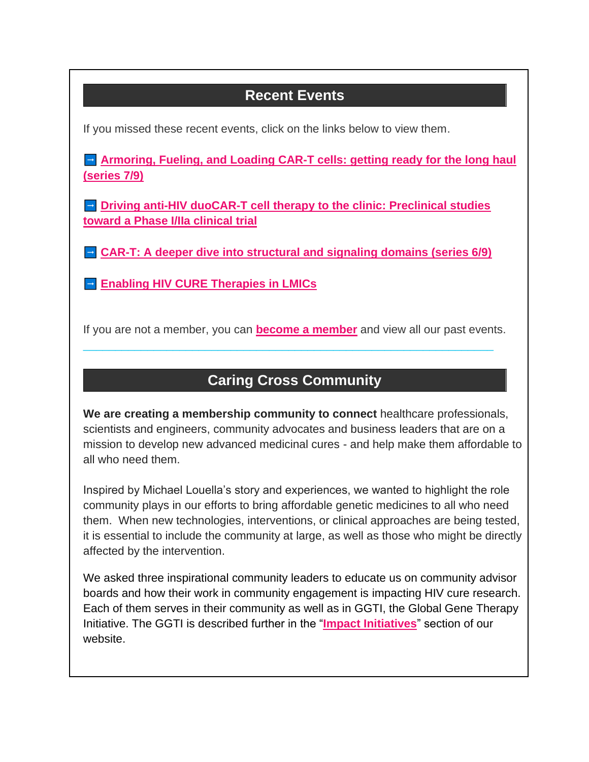# **Recent Events**

If you missed these recent events, click on the links below to view them.

**Armoring, Fueling, and Loading CAR-T cells: getting ready for the long haul [\(series 7/9\)](https://caringcross.org/archives/)**

**<u>Driving anti-HIV duoCAR-T cell therapy to the clinic: Preclinical studies</u> [toward a Phase I/IIa clinical trial](https://caringcross.org/archives/)**

**[CAR-T: A deeper dive into structural and signaling domains \(series 6/9\)](https://caringcross.org/archives/)**

**[Enabling HIV CURE Therapies in LMICs](https://caringcross.org/archives/)** 

If you are not a member, you can **[become a member](https://caringcross.org/become-a-member/)** and view all our past events.

\_\_\_\_\_\_\_\_\_\_\_\_\_\_\_\_\_\_\_\_\_\_\_\_\_\_\_\_\_\_\_\_\_\_\_\_\_\_\_\_\_\_\_\_\_\_\_\_\_\_\_\_\_\_\_\_\_\_\_\_\_\_\_\_

# **Caring Cross Community**

**We are creating a membership community to connect** healthcare professionals, scientists and engineers, community advocates and business leaders that are on a mission to develop new advanced medicinal cures - and help make them affordable to all who need them.

Inspired by Michael Louella's story and experiences, we wanted to highlight the role community plays in our efforts to bring affordable genetic medicines to all who need them. When new technologies, interventions, or clinical approaches are being tested, it is essential to include the community at large, as well as those who might be directly affected by the intervention.

We asked three inspirational community leaders to educate us on community advisor boards and how their work in community engagement is impacting HIV cure research. Each of them serves in their community as well as in GGTI, the Global Gene Therapy Initiative. The GGTI is described further in the "**[Impact Initiatives](https://caringcross.org/global-gene-therapy-initiative/)**" section of our website.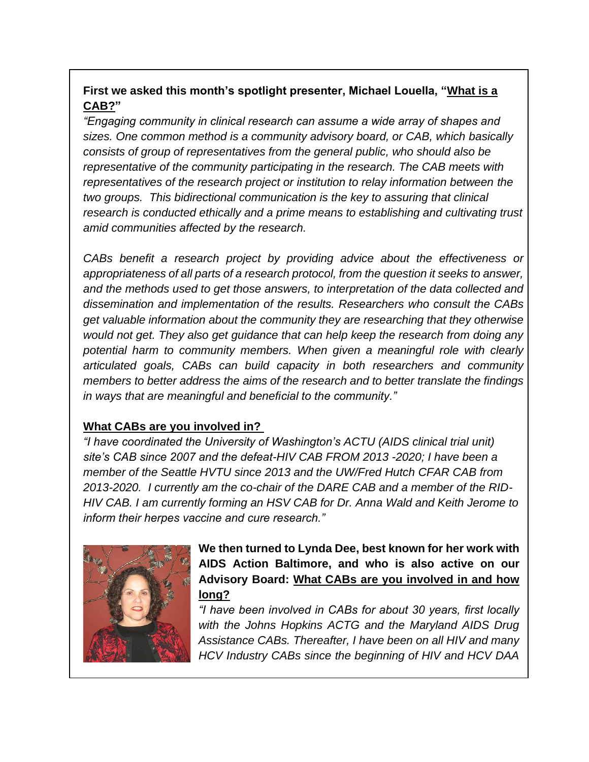## **First we asked this month's spotlight presenter, Michael Louella, "What is a CAB?"**

*"Engaging community in clinical research can assume a wide array of shapes and sizes. One common method is a community advisory board, or CAB, which basically consists of group of representatives from the general public, who should also be representative of the community participating in the research. The CAB meets with representatives of the research project or institution to relay information between the two groups. This bidirectional communication is the key to assuring that clinical research is conducted ethically and a prime means to establishing and cultivating trust amid communities affected by the research.* 

*CABs benefit a research project by providing advice about the effectiveness or appropriateness of all parts of a research protocol, from the question it seeks to answer, and the methods used to get those answers, to interpretation of the data collected and dissemination and implementation of the results. Researchers who consult the CABs get valuable information about the community they are researching that they otherwise would not get. They also get guidance that can help keep the research from doing any potential harm to community members. When given a meaningful role with clearly articulated goals, CABs can build capacity in both researchers and community members to better address the aims of the research and to better translate the findings in ways that are meaningful and beneficial to the community."*

### **What CABs are you involved in?**

*"I have coordinated the University of Washington's ACTU (AIDS clinical trial unit) site's CAB since 2007 and the defeat-HIV CAB FROM 2013 -2020; I have been a member of the Seattle HVTU since 2013 and the UW/Fred Hutch CFAR CAB from 2013-2020. I currently am the co-chair of the DARE CAB and a member of the RID-HIV CAB. I am currently forming an HSV CAB for Dr. Anna Wald and Keith Jerome to inform their herpes vaccine and cure research."*



**We then turned to Lynda Dee, best known for her work with AIDS Action Baltimore, and who is also active on our Advisory Board: What CABs are you involved in and how long?**

*"I have been involved in CABs for about 30 years, first locally with the Johns Hopkins ACTG and the Maryland AIDS Drug Assistance CABs. Thereafter, I have been on all HIV and many HCV Industry CABs since the beginning of HIV and HCV DAA*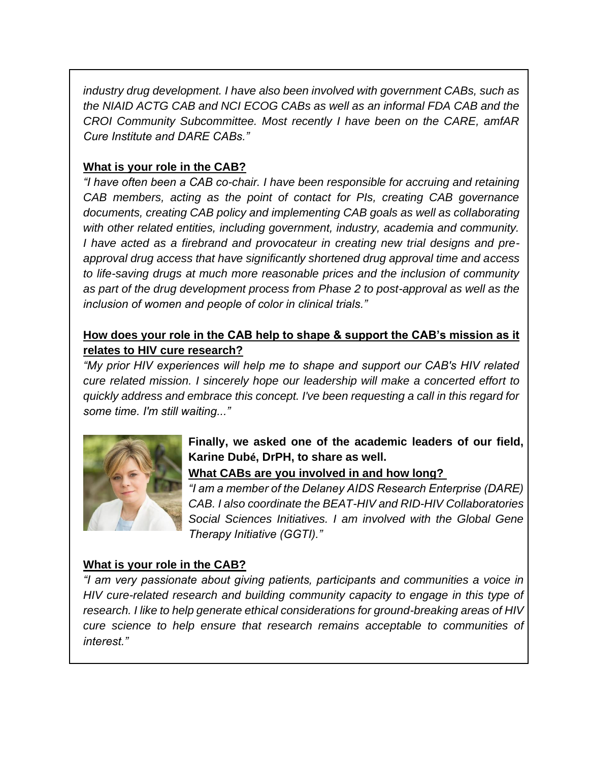*industry drug development. I have also been involved with government CABs, such as the NIAID ACTG CAB and NCI ECOG CABs as well as an informal FDA CAB and the CROI Community Subcommittee. Most recently I have been on the CARE, amfAR Cure Institute and DARE CABs."*

## **What is your role in the CAB?**

*"I have often been a CAB co-chair. I have been responsible for accruing and retaining CAB members, acting as the point of contact for PIs, creating CAB governance documents, creating CAB policy and implementing CAB goals as well as collaborating with other related entities, including government, industry, academia and community. I have acted as a firebrand and provocateur in creating new trial designs and preapproval drug access that have significantly shortened drug approval time and access to life-saving drugs at much more reasonable prices and the inclusion of community as part of the drug development process from Phase 2 to post-approval as well as the inclusion of women and people of color in clinical trials."*

## **How does your role in the CAB help to shape & support the CAB's mission as it relates to HIV cure research?**

*"My prior HIV experiences will help me to shape and support our CAB's HIV related cure related mission. I sincerely hope our leadership will make a concerted effort to quickly address and embrace this concept. I've been requesting a call in this regard for some time. I'm still waiting..."*



## **Finally, we asked one of the academic leaders of our field, Karine Dubé, DrPH, to share as well.**

**What CABs are you involved in and how long?**

*"I am a member of the Delaney AIDS Research Enterprise (DARE) CAB. I also coordinate the BEAT-HIV and RID-HIV Collaboratories Social Sciences Initiatives. I am involved with the Global Gene Therapy Initiative (GGTI)."*

### **What is your role in the CAB?**

*"I am very passionate about giving patients, participants and communities a voice in HIV cure-related research and building community capacity to engage in this type of research. I like to help generate ethical considerations for ground-breaking areas of HIV cure science to help ensure that research remains acceptable to communities of interest."*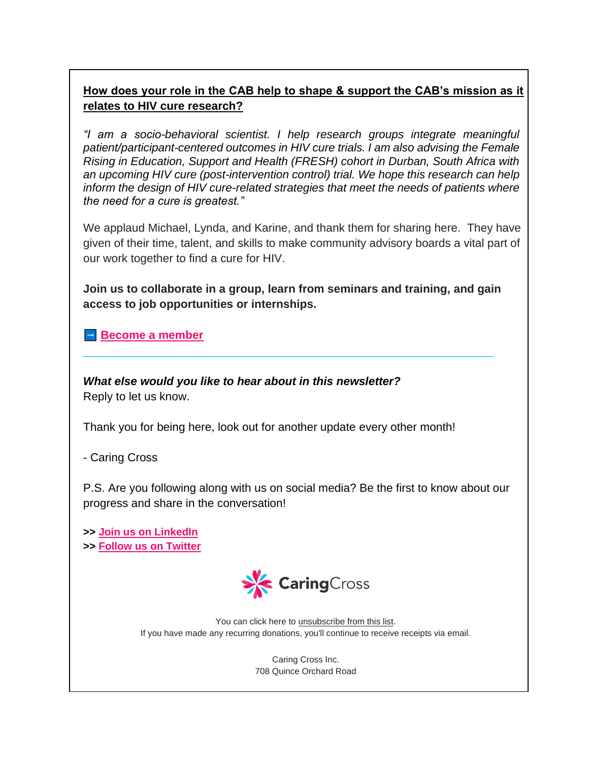## **How does your role in the CAB help to shape & support the CAB's mission as it relates to HIV cure research?**

*"I am a socio-behavioral scientist. I help research groups integrate meaningful patient/participant-centered outcomes in HIV cure trials. I am also advising the Female Rising in Education, Support and Health (FRESH) cohort in Durban, South Africa with an upcoming HIV cure (post-intervention control) trial. We hope this research can help inform the design of HIV cure-related strategies that meet the needs of patients where the need for a cure is greatest."*

We applaud Michael, Lynda, and Karine, and thank them for sharing here. They have given of their time, talent, and skills to make community advisory boards a vital part of our work together to find a cure for HIV.

**Join us to collaborate in a group, learn from seminars and training, and gain access to job opportunities or internships.**

\_\_\_\_\_\_\_\_\_\_\_\_\_\_\_\_\_\_\_\_\_\_\_\_\_\_\_\_\_\_\_\_\_\_\_\_\_\_\_\_\_\_\_\_\_\_\_\_\_\_\_\_\_\_\_\_\_\_\_\_\_\_\_\_

**[Become a member](https://caringcross.org/become-a-member/)** 

*What else would you like to hear about in this newsletter?*  Reply to let us know.

Thank you for being here, look out for another update every other month!

- Caring Cross

P.S. Are you following along with us on social media? Be the first to know about our progress and share in the conversation!

**>> [Join us on LinkedIn](https://www.linkedin.com/company/caring-cross/) >> [Follow us on Twitter](https://twitter.com/caring_cross)**



You can click here to [unsubscribe from this list.](https://caringcross.us17.list-manage.com/unsubscribe?u=4a24a1c645a051c57020b6154&id=4dbf06d1dd&e=3d31e737a9&c=5d67863a2c) If you have made any recurring donations, you'll continue to receive receipts via email.

> Caring Cross Inc. 708 Quince Orchard Road